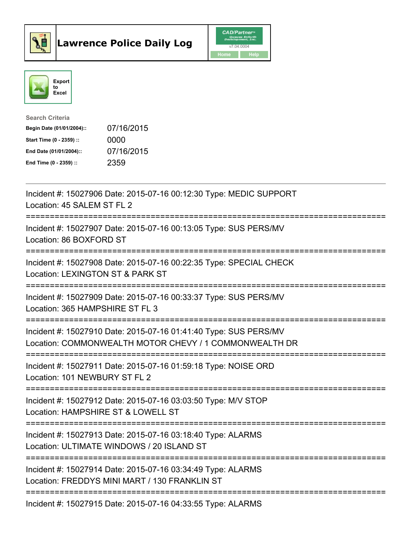



| <b>Search Criteria</b>    |            |
|---------------------------|------------|
| Begin Date (01/01/2004):: | 07/16/2015 |
| Start Time (0 - 2359) ::  | 0000       |
| End Date (01/01/2004)::   | 07/16/2015 |
| End Time $(0 - 2359)$ :   | 2359       |

| Incident #: 15027906 Date: 2015-07-16 00:12:30 Type: MEDIC SUPPORT<br>Location: 45 SALEM ST FL 2                                                                                   |
|------------------------------------------------------------------------------------------------------------------------------------------------------------------------------------|
| Incident #: 15027907 Date: 2015-07-16 00:13:05 Type: SUS PERS/MV<br>Location: 86 BOXFORD ST                                                                                        |
| Incident #: 15027908 Date: 2015-07-16 00:22:35 Type: SPECIAL CHECK<br>Location: LEXINGTON ST & PARK ST<br>-----------------------                                                  |
| Incident #: 15027909 Date: 2015-07-16 00:33:37 Type: SUS PERS/MV<br>Location: 365 HAMPSHIRE ST FL 3<br>==================                                                          |
| Incident #: 15027910 Date: 2015-07-16 01:41:40 Type: SUS PERS/MV<br>Location: COMMONWEALTH MOTOR CHEVY / 1 COMMONWEALTH DR<br>--------------------------                           |
| Incident #: 15027911 Date: 2015-07-16 01:59:18 Type: NOISE ORD<br>Location: 101 NEWBURY ST FL 2<br>-----------------------                                                         |
| Incident #: 15027912 Date: 2015-07-16 03:03:50 Type: M/V STOP<br>Location: HAMPSHIRE ST & LOWELL ST                                                                                |
| ____________________________<br>Incident #: 15027913 Date: 2015-07-16 03:18:40 Type: ALARMS<br>Location: ULTIMATE WINDOWS / 20 ISLAND ST<br>;===================================== |
| Incident #: 15027914 Date: 2015-07-16 03:34:49 Type: ALARMS<br>Location: FREDDYS MINI MART / 130 FRANKLIN ST                                                                       |
| ====================================<br>Incident #: 15027915 Date: 2015-07-16 04:33:55 Type: ALARMS                                                                                |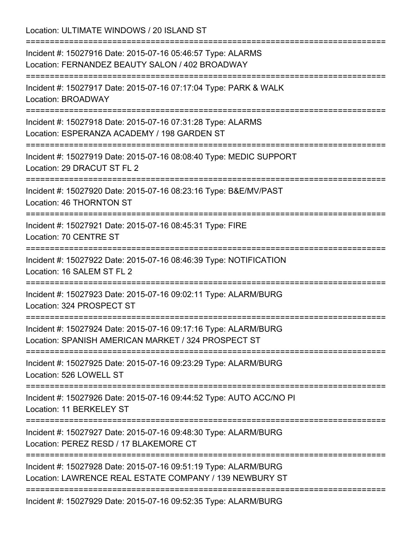Location: ULTIMATE WINDOWS / 20 ISLAND ST

| ;=============================                                                                                                                                                             |
|--------------------------------------------------------------------------------------------------------------------------------------------------------------------------------------------|
| Incident #: 15027916 Date: 2015-07-16 05:46:57 Type: ALARMS<br>Location: FERNANDEZ BEAUTY SALON / 402 BROADWAY<br>==============================<br>====================================== |
| Incident #: 15027917 Date: 2015-07-16 07:17:04 Type: PARK & WALK<br>Location: BROADWAY                                                                                                     |
| Incident #: 15027918 Date: 2015-07-16 07:31:28 Type: ALARMS<br>Location: ESPERANZA ACADEMY / 198 GARDEN ST<br>==============================<br>==============================             |
| Incident #: 15027919 Date: 2015-07-16 08:08:40 Type: MEDIC SUPPORT<br>Location: 29 DRACUT ST FL 2                                                                                          |
| Incident #: 15027920 Date: 2015-07-16 08:23:16 Type: B&E/MV/PAST<br>Location: 46 THORNTON ST                                                                                               |
| Incident #: 15027921 Date: 2015-07-16 08:45:31 Type: FIRE<br>Location: 70 CENTRE ST                                                                                                        |
| Incident #: 15027922 Date: 2015-07-16 08:46:39 Type: NOTIFICATION<br>Location: 16 SALEM ST FL 2                                                                                            |
| Incident #: 15027923 Date: 2015-07-16 09:02:11 Type: ALARM/BURG<br>Location: 324 PROSPECT ST                                                                                               |
| Incident #: 15027924 Date: 2015-07-16 09:17:16 Type: ALARM/BURG<br>Location: SPANISH AMERICAN MARKET / 324 PROSPECT ST                                                                     |
| ===============================<br>Incident #: 15027925 Date: 2015-07-16 09:23:29 Type: ALARM/BURG<br>Location: 526 LOWELL ST                                                              |
| Incident #: 15027926 Date: 2015-07-16 09:44:52 Type: AUTO ACC/NO PI<br>Location: 11 BERKELEY ST                                                                                            |
| Incident #: 15027927 Date: 2015-07-16 09:48:30 Type: ALARM/BURG<br>Location: PEREZ RESD / 17 BLAKEMORE CT                                                                                  |
| Incident #: 15027928 Date: 2015-07-16 09:51:19 Type: ALARM/BURG<br>Location: LAWRENCE REAL ESTATE COMPANY / 139 NEWBURY ST                                                                 |
| =================================<br>Incident #: 15027929 Date: 2015-07-16 09:52:35 Type: ALARM/BURG                                                                                       |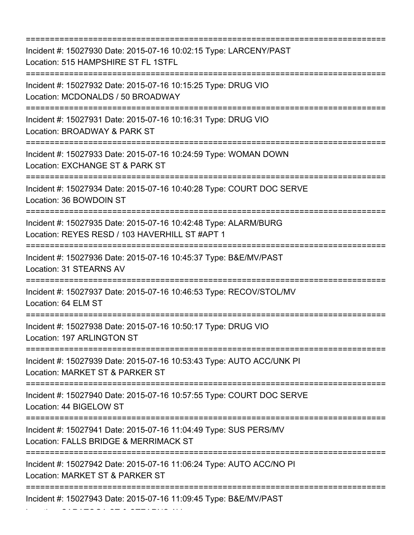=========================================================================== Incident #: 15027930 Date: 2015-07-16 10:02:15 Type: LARCENY/PAST Location: 515 HAMPSHIRE ST FL 1STFL =========================================================================== Incident #: 15027932 Date: 2015-07-16 10:15:25 Type: DRUG VIO Location: MCDONALDS / 50 BROADWAY =========================================================================== Incident #: 15027931 Date: 2015-07-16 10:16:31 Type: DRUG VIO Location: BROADWAY & PARK ST =========================================================================== Incident #: 15027933 Date: 2015-07-16 10:24:59 Type: WOMAN DOWN Location: EXCHANGE ST & PARK ST =========================================================================== Incident #: 15027934 Date: 2015-07-16 10:40:28 Type: COURT DOC SERVE Location: 36 BOWDOIN ST =========================================================================== Incident #: 15027935 Date: 2015-07-16 10:42:48 Type: ALARM/BURG Location: REYES RESD / 103 HAVERHILL ST #APT 1 =========================================================================== Incident #: 15027936 Date: 2015-07-16 10:45:37 Type: B&E/MV/PAST Location: 31 STEARNS AV =========================================================================== Incident #: 15027937 Date: 2015-07-16 10:46:53 Type: RECOV/STOL/MV Location: 64 ELM ST =========================================================================== Incident #: 15027938 Date: 2015-07-16 10:50:17 Type: DRUG VIO Location: 197 ARLINGTON ST =========================================================================== Incident #: 15027939 Date: 2015-07-16 10:53:43 Type: AUTO ACC/UNK PI Location: MARKET ST & PARKER ST =========================================================================== Incident #: 15027940 Date: 2015-07-16 10:57:55 Type: COURT DOC SERVE Location: 44 BIGELOW ST =========================================================================== Incident #: 15027941 Date: 2015-07-16 11:04:49 Type: SUS PERS/MV Location: FALLS BRIDGE & MERRIMACK ST =========================================================================== Incident #: 15027942 Date: 2015-07-16 11:06:24 Type: AUTO ACC/NO PI Location: MARKET ST & PARKER ST =========================================================================== Incident #: 15027943 Date: 2015-07-16 11:09:45 Type: B&E/MV/PAST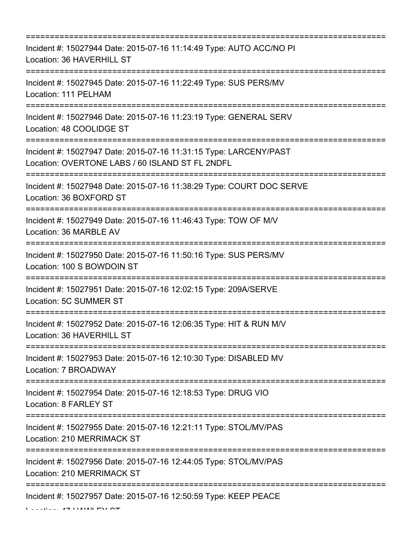| Incident #: 15027944 Date: 2015-07-16 11:14:49 Type: AUTO ACC/NO PI<br>Location: 36 HAVERHILL ST                                                      |
|-------------------------------------------------------------------------------------------------------------------------------------------------------|
| Incident #: 15027945 Date: 2015-07-16 11:22:49 Type: SUS PERS/MV<br>Location: 111 PELHAM                                                              |
| Incident #: 15027946 Date: 2015-07-16 11:23:19 Type: GENERAL SERV<br>Location: 48 COOLIDGE ST                                                         |
| Incident #: 15027947 Date: 2015-07-16 11:31:15 Type: LARCENY/PAST<br>Location: OVERTONE LABS / 60 ISLAND ST FL 2NDFL<br>----------------------------- |
| Incident #: 15027948 Date: 2015-07-16 11:38:29 Type: COURT DOC SERVE<br>Location: 36 BOXFORD ST                                                       |
| Incident #: 15027949 Date: 2015-07-16 11:46:43 Type: TOW OF M/V<br>Location: 36 MARBLE AV                                                             |
| Incident #: 15027950 Date: 2015-07-16 11:50:16 Type: SUS PERS/MV<br>Location: 100 S BOWDOIN ST                                                        |
| Incident #: 15027951 Date: 2015-07-16 12:02:15 Type: 209A/SERVE<br><b>Location: 5C SUMMER ST</b>                                                      |
| Incident #: 15027952 Date: 2015-07-16 12:06:35 Type: HIT & RUN M/V<br>Location: 36 HAVERHILL ST                                                       |
| Incident #: 15027953 Date: 2015-07-16 12:10:30 Type: DISABLED MV<br>Location: 7 BROADWAY                                                              |
| Incident #: 15027954 Date: 2015-07-16 12:18:53 Type: DRUG VIO<br>Location: 8 FARLEY ST                                                                |
| Incident #: 15027955 Date: 2015-07-16 12:21:11 Type: STOL/MV/PAS<br>Location: 210 MERRIMACK ST                                                        |
| Incident #: 15027956 Date: 2015-07-16 12:44:05 Type: STOL/MV/PAS<br>Location: 210 MERRIMACK ST                                                        |
| Incident #: 15027957 Date: 2015-07-16 12:50:59 Type: KEEP PEACE                                                                                       |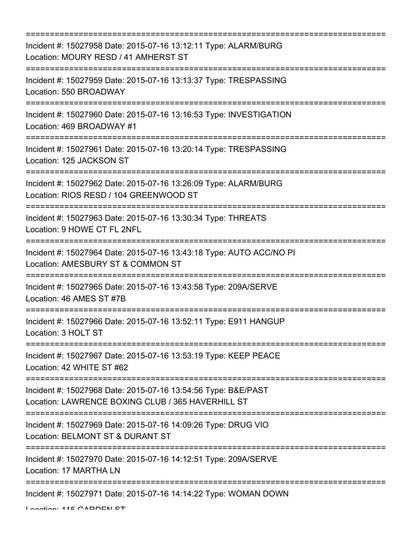| ==============================                                                                                                        |
|---------------------------------------------------------------------------------------------------------------------------------------|
| Incident #: 15027958 Date: 2015-07-16 13:12:11 Type: ALARM/BURG<br>Location: MOURY RESD / 41 AMHERST ST                               |
| Incident #: 15027959 Date: 2015-07-16 13:13:37 Type: TRESPASSING<br>Location: 550 BROADWAY<br>:==================                     |
| Incident #: 15027960 Date: 2015-07-16 13:16:53 Type: INVESTIGATION<br>Location: 469 BROADWAY #1<br>==============================     |
| Incident #: 15027961 Date: 2015-07-16 13:20:14 Type: TRESPASSING<br>Location: 125 JACKSON ST                                          |
| Incident #: 15027962 Date: 2015-07-16 13:26:09 Type: ALARM/BURG<br>Location: RIOS RESD / 104 GREENWOOD ST<br>:======================= |
| Incident #: 15027963 Date: 2015-07-16 13:30:34 Type: THREATS<br>Location: 9 HOWE CT FL 2NFL                                           |
| Incident #: 15027964 Date: 2015-07-16 13:43:18 Type: AUTO ACC/NO PI<br>Location: AMESBURY ST & COMMON ST                              |
| Incident #: 15027965 Date: 2015-07-16 13:43:58 Type: 209A/SERVE<br>Location: 46 AMES ST #7B                                           |
| Incident #: 15027966 Date: 2015-07-16 13:52:11 Type: E911 HANGUP<br>Location: 3 HOLT ST                                               |
| Incident #: 15027967 Date: 2015-07-16 13:53:19 Type: KEEP PEACE<br>Location: 42 WHITE ST #62                                          |
| Incident #: 15027968 Date: 2015-07-16 13:54:56 Type: B&E/PAST<br>Location: LAWRENCE BOXING CLUB / 365 HAVERHILL ST                    |
| Incident #: 15027969 Date: 2015-07-16 14:09:26 Type: DRUG VIO<br>Location: BELMONT ST & DURANT ST                                     |
| Incident #: 15027970 Date: 2015-07-16 14:12:51 Type: 209A/SERVE<br>Location: 17 MARTHA LN                                             |
| Incident #: 15027971 Date: 2015-07-16 14:14:22 Type: WOMAN DOWN                                                                       |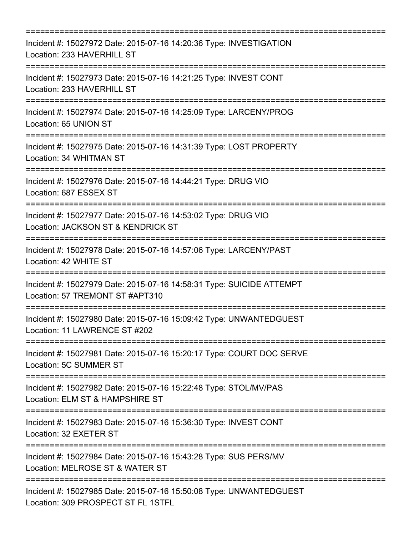| Incident #: 15027972 Date: 2015-07-16 14:20:36 Type: INVESTIGATION<br>Location: 233 HAVERHILL ST         |
|----------------------------------------------------------------------------------------------------------|
| Incident #: 15027973 Date: 2015-07-16 14:21:25 Type: INVEST CONT<br>Location: 233 HAVERHILL ST           |
| Incident #: 15027974 Date: 2015-07-16 14:25:09 Type: LARCENY/PROG<br>Location: 65 UNION ST               |
| Incident #: 15027975 Date: 2015-07-16 14:31:39 Type: LOST PROPERTY<br>Location: 34 WHITMAN ST            |
| Incident #: 15027976 Date: 2015-07-16 14:44:21 Type: DRUG VIO<br>Location: 687 ESSEX ST                  |
| Incident #: 15027977 Date: 2015-07-16 14:53:02 Type: DRUG VIO<br>Location: JACKSON ST & KENDRICK ST      |
| Incident #: 15027978 Date: 2015-07-16 14:57:06 Type: LARCENY/PAST<br>Location: 42 WHITE ST               |
| Incident #: 15027979 Date: 2015-07-16 14:58:31 Type: SUICIDE ATTEMPT<br>Location: 57 TREMONT ST #APT310  |
| Incident #: 15027980 Date: 2015-07-16 15:09:42 Type: UNWANTEDGUEST<br>Location: 11 LAWRENCE ST #202      |
| Incident #: 15027981 Date: 2015-07-16 15:20:17 Type: COURT DOC SERVE<br>Location: 5C SUMMER ST           |
| Incident #: 15027982 Date: 2015-07-16 15:22:48 Type: STOL/MV/PAS<br>Location: ELM ST & HAMPSHIRE ST      |
| Incident #: 15027983 Date: 2015-07-16 15:36:30 Type: INVEST CONT<br>Location: 32 EXETER ST               |
| Incident #: 15027984 Date: 2015-07-16 15:43:28 Type: SUS PERS/MV<br>Location: MELROSE ST & WATER ST      |
| Incident #: 15027985 Date: 2015-07-16 15:50:08 Type: UNWANTEDGUEST<br>Location: 309 PROSPECT ST FL 1STFL |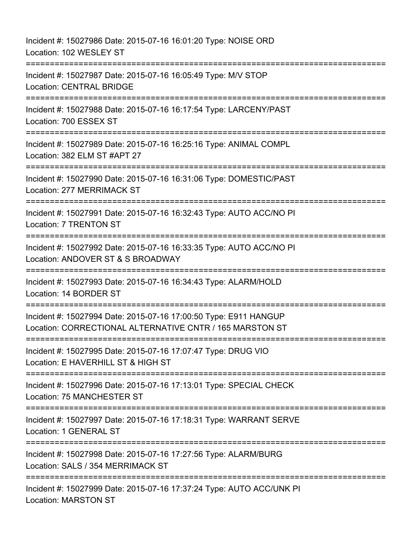| Incident #: 15027986 Date: 2015-07-16 16:01:20 Type: NOISE ORD<br>Location: 102 WESLEY ST                                    |
|------------------------------------------------------------------------------------------------------------------------------|
| Incident #: 15027987 Date: 2015-07-16 16:05:49 Type: M/V STOP<br><b>Location: CENTRAL BRIDGE</b>                             |
| Incident #: 15027988 Date: 2015-07-16 16:17:54 Type: LARCENY/PAST<br>Location: 700 ESSEX ST                                  |
| Incident #: 15027989 Date: 2015-07-16 16:25:16 Type: ANIMAL COMPL<br>Location: 382 ELM ST #APT 27                            |
| Incident #: 15027990 Date: 2015-07-16 16:31:06 Type: DOMESTIC/PAST<br>Location: 277 MERRIMACK ST                             |
| Incident #: 15027991 Date: 2015-07-16 16:32:43 Type: AUTO ACC/NO PI<br>Location: 7 TRENTON ST                                |
| Incident #: 15027992 Date: 2015-07-16 16:33:35 Type: AUTO ACC/NO PI<br>Location: ANDOVER ST & S BROADWAY                     |
| Incident #: 15027993 Date: 2015-07-16 16:34:43 Type: ALARM/HOLD<br>Location: 14 BORDER ST                                    |
| Incident #: 15027994 Date: 2015-07-16 17:00:50 Type: E911 HANGUP<br>Location: CORRECTIONAL ALTERNATIVE CNTR / 165 MARSTON ST |
| Incident #: 15027995 Date: 2015-07-16 17:07:47 Type: DRUG VIO<br>Location: E HAVERHILL ST & HIGH ST                          |
| Incident #: 15027996 Date: 2015-07-16 17:13:01 Type: SPECIAL CHECK<br>Location: 75 MANCHESTER ST                             |
| Incident #: 15027997 Date: 2015-07-16 17:18:31 Type: WARRANT SERVE<br>Location: 1 GENERAL ST                                 |
| Incident #: 15027998 Date: 2015-07-16 17:27:56 Type: ALARM/BURG<br>Location: SALS / 354 MERRIMACK ST                         |
| Incident #: 15027999 Date: 2015-07-16 17:37:24 Type: AUTO ACC/UNK PI<br><b>Location: MARSTON ST</b>                          |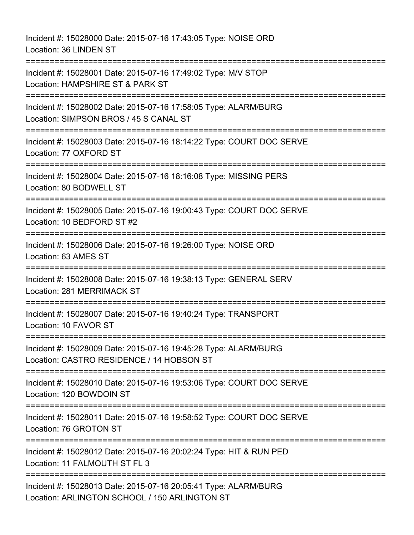Incident #: 15028000 Date: 2015-07-16 17:43:05 Type: NOISE ORD Location: 36 LINDEN ST =========================================================================== Incident #: 15028001 Date: 2015-07-16 17:49:02 Type: M/V STOP Location: HAMPSHIRE ST & PARK ST =========================================================================== Incident #: 15028002 Date: 2015-07-16 17:58:05 Type: ALARM/BURG Location: SIMPSON BROS / 45 S CANAL ST =========================================================================== Incident #: 15028003 Date: 2015-07-16 18:14:22 Type: COURT DOC SERVE Location: 77 OXFORD ST =========================================================================== Incident #: 15028004 Date: 2015-07-16 18:16:08 Type: MISSING PERS Location: 80 BODWELL ST =========================================================================== Incident #: 15028005 Date: 2015-07-16 19:00:43 Type: COURT DOC SERVE Location: 10 BEDFORD ST #2 =========================================================================== Incident #: 15028006 Date: 2015-07-16 19:26:00 Type: NOISE ORD Location: 63 AMES ST =========================================================================== Incident #: 15028008 Date: 2015-07-16 19:38:13 Type: GENERAL SERV Location: 281 MERRIMACK ST ======================== Incident #: 15028007 Date: 2015-07-16 19:40:24 Type: TRANSPORT Location: 10 FAVOR ST =========================================================================== Incident #: 15028009 Date: 2015-07-16 19:45:28 Type: ALARM/BURG Location: CASTRO RESIDENCE / 14 HOBSON ST =========================================================================== Incident #: 15028010 Date: 2015-07-16 19:53:06 Type: COURT DOC SERVE Location: 120 BOWDOIN ST =========================================================================== Incident #: 15028011 Date: 2015-07-16 19:58:52 Type: COURT DOC SERVE Location: 76 GROTON ST =========================================================================== Incident #: 15028012 Date: 2015-07-16 20:02:24 Type: HIT & RUN PED Location: 11 FALMOUTH ST FL 3 =========================================================================== Incident #: 15028013 Date: 2015-07-16 20:05:41 Type: ALARM/BURG Location: ARLINGTON SCHOOL / 150 ARLINGTON ST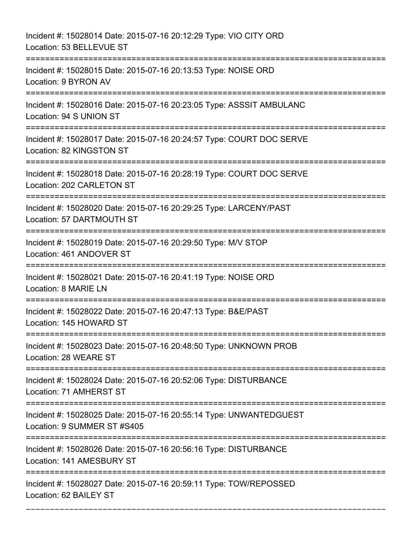Incident #: 15028014 Date: 2015-07-16 20:12:29 Type: VIO CITY ORD Location: 53 BELLEVUE ST =========================================================================== Incident #: 15028015 Date: 2015-07-16 20:13:53 Type: NOISE ORD Location: 9 BYRON AV =========================================================================== Incident #: 15028016 Date: 2015-07-16 20:23:05 Type: ASSSIT AMBULANC Location: 94 S UNION ST =========================================================================== Incident #: 15028017 Date: 2015-07-16 20:24:57 Type: COURT DOC SERVE Location: 82 KINGSTON ST =========================================================================== Incident #: 15028018 Date: 2015-07-16 20:28:19 Type: COURT DOC SERVE Location: 202 CARLETON ST =========================================================================== Incident #: 15028020 Date: 2015-07-16 20:29:25 Type: LARCENY/PAST Location: 57 DARTMOUTH ST =========================================================================== Incident #: 15028019 Date: 2015-07-16 20:29:50 Type: M/V STOP Location: 461 ANDOVER ST =========================================================================== Incident #: 15028021 Date: 2015-07-16 20:41:19 Type: NOISE ORD Location: 8 MARIE LN =========================================================================== Incident #: 15028022 Date: 2015-07-16 20:47:13 Type: B&E/PAST Location: 145 HOWARD ST =========================================================================== Incident #: 15028023 Date: 2015-07-16 20:48:50 Type: UNKNOWN PROB Location: 28 WEARE ST =========================================================================== Incident #: 15028024 Date: 2015-07-16 20:52:06 Type: DISTURBANCE Location: 71 AMHERST ST =========================================================================== Incident #: 15028025 Date: 2015-07-16 20:55:14 Type: UNWANTEDGUEST Location: 9 SUMMER ST #S405 =========================================================================== Incident #: 15028026 Date: 2015-07-16 20:56:16 Type: DISTURBANCE Location: 141 AMESBURY ST =========================================================================== Incident #: 15028027 Date: 2015-07-16 20:59:11 Type: TOW/REPOSSED Location: 62 BAILEY ST

===========================================================================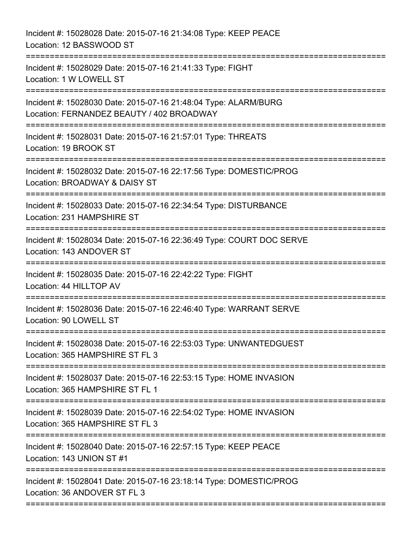Incident #: 15028028 Date: 2015-07-16 21:34:08 Type: KEEP PEACE Location: 12 BASSWOOD ST =========================================================================== Incident #: 15028029 Date: 2015-07-16 21:41:33 Type: FIGHT Location: 1 W LOWELL ST =========================================================================== Incident #: 15028030 Date: 2015-07-16 21:48:04 Type: ALARM/BURG Location: FERNANDEZ BEAUTY / 402 BROADWAY =========================================================================== Incident #: 15028031 Date: 2015-07-16 21:57:01 Type: THREATS Location: 19 BROOK ST =========================================================================== Incident #: 15028032 Date: 2015-07-16 22:17:56 Type: DOMESTIC/PROG Location: BROADWAY & DAISY ST =========================================================================== Incident #: 15028033 Date: 2015-07-16 22:34:54 Type: DISTURBANCE Location: 231 HAMPSHIRE ST =========================================================================== Incident #: 15028034 Date: 2015-07-16 22:36:49 Type: COURT DOC SERVE Location: 143 ANDOVER ST =========================================================================== Incident #: 15028035 Date: 2015-07-16 22:42:22 Type: FIGHT Location: 44 HILLTOP AV =========================================================================== Incident #: 15028036 Date: 2015-07-16 22:46:40 Type: WARRANT SERVE Location: 90 LOWELL ST =========================================================================== Incident #: 15028038 Date: 2015-07-16 22:53:03 Type: UNWANTEDGUEST Location: 365 HAMPSHIRE ST FL 3 =========================================================================== Incident #: 15028037 Date: 2015-07-16 22:53:15 Type: HOME INVASION Location: 365 HAMPSHIRE ST FL 1 =========================================================================== Incident #: 15028039 Date: 2015-07-16 22:54:02 Type: HOME INVASION Location: 365 HAMPSHIRE ST FL 3 =========================================================================== Incident #: 15028040 Date: 2015-07-16 22:57:15 Type: KEEP PEACE Location: 143 UNION ST #1 =========================================================================== Incident #: 15028041 Date: 2015-07-16 23:18:14 Type: DOMESTIC/PROG Location: 36 ANDOVER ST FL 3 ===========================================================================